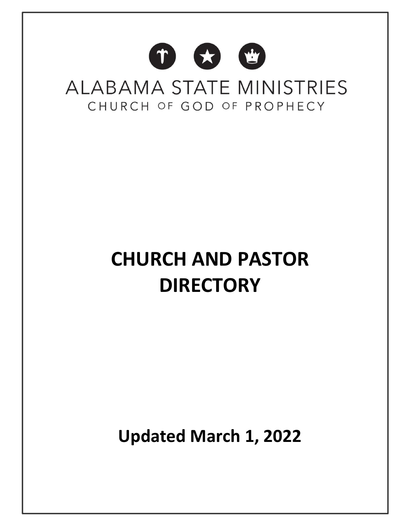# **CHURCH AND PASTOR DIRECTORY**

**Updated March 1, 2022**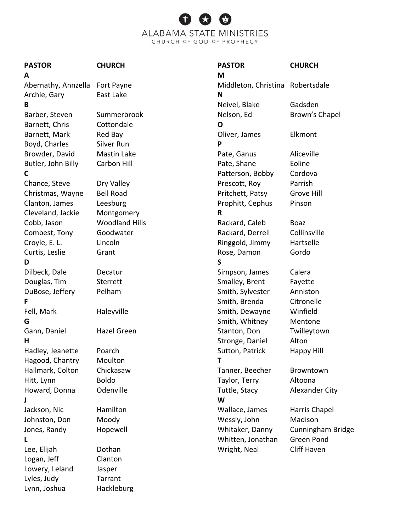#### **PASTOR CHURCH**

Abernathy, Annzella Fort Payne Archie, Gary East Lake **B** Barber, Steven Summerbrook Barnett, Chris Cottondale Barnett, Mark Red Bay Boyd, Charles Silver Run Browder, David Mastin Lake Butler, John Billy Carbon Hill **C** Chance, Steve Dry Valley Christmas, Wayne Bell Road Clanton, James Leesburg Cleveland, Jackie Montgomery Cobb, Jason Woodland Hills Combest, Tony Goodwater Croyle, E. L. Lincoln Curtis, Leslie Grant **D** Dilbeck, Dale Decatur Douglas, Tim Sterrett DuBose, Jeffery Pelham **F** Fell, Mark Haleyville **G** Gann, Daniel Hazel Green **H** Hadley, Jeanette Poarch Hagood, Chantry Moulton Hallmark, Colton Chickasaw Hitt, Lynn Boldo Howard, Donna Odenville **J** Jackson, Nic Hamilton Johnston, Don Moody Jones, Randy Hopewell **L** Lee, Elijah Dothan Logan, Jeff Clanton Lowery, Leland Jasper Lyles, Judy Tarrant Lynn, Joshua Hackleburg

**PASTOR CHURCH M** Middleton, Christina Robertsdale **N** Neivel, Blake Gadsden Nelson, Ed Brown's Chapel **O** Oliver, James Elkmont **P** Pate, Ganus Aliceville Pate, Shane **Eoline** Patterson, Bobby Cordova Prescott, Roy Parrish Pritchett, Patsy Grove Hill Prophitt, Cephus Pinson **R** Rackard, Caleb Boaz Rackard, Derrell Collinsville Ringgold, Jimmy Hartselle Rose, Damon Gordo **S** Simpson, James Calera Smalley, Brent Fayette Smith, Sylvester Anniston Smith, Brenda Citronelle Smith, Dewayne Winfield Smith, Whitney Mentone Stanton, Don Twilleytown Stronge, Daniel Alton Sutton, Patrick Happy Hill **T** Tanner, Beecher Browntown Taylor, Terry Altoona Tuttle, Stacy Alexander City **W** Wallace, James Harris Chapel Wessly, John Madison Whitaker, Danny Cunningham Bridge Whitten, Jonathan Green Pond Wright, Neal Cliff Haven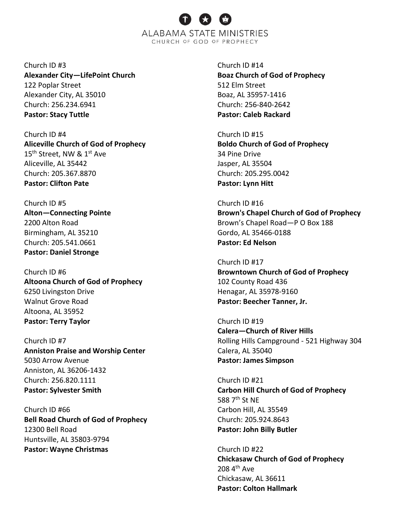Church ID #3 **Alexander City—LifePoint Church**  122 Poplar Street Alexander City, AL 35010 Church: 256.234.6941 **Pastor: Stacy Tuttle**

Church ID #4 **Aliceville Church of God of Prophecy** 15<sup>th</sup> Street, NW & 1<sup>st</sup> Ave Aliceville, AL 35442 Church: 205.367.8870 **Pastor: Clifton Pate**

Church ID #5 **Alton—Connecting Pointe** 2200 Alton Road Birmingham, AL 35210 Church: 205.541.0661 **Pastor: Daniel Stronge**

Church ID #6 **Altoona Church of God of Prophecy** 6250 Livingston Drive Walnut Grove Road Altoona, AL 35952 **Pastor: Terry Taylor**

Church ID #7 **Anniston Praise and Worship Center** 5030 Arrow Avenue Anniston, AL 36206-1432 Church: 256.820.1111 **Pastor: Sylvester Smith**

Church ID #66 **Bell Road Church of God of Prophecy** 12300 Bell Road Huntsville, AL 35803-9794 **Pastor: Wayne Christmas**

Church ID #14 **Boaz Church of God of Prophecy** 512 Elm Street Boaz, AL 35957-1416 Church: 256-840-2642 **Pastor: Caleb Rackard**

Church ID #15 **Boldo Church of God of Prophecy** 34 Pine Drive Jasper, AL 35504 Church: 205.295.0042 **Pastor: Lynn Hitt**

Church ID #16 **Brown's Chapel Church of God of Prophecy** Brown's Chapel Road—P O Box 188 Gordo, AL 35466-0188 **Pastor: Ed Nelson**

Church ID #17 **Browntown Church of God of Prophecy** 102 County Road 436 Henagar, AL 35978-9160 **Pastor: Beecher Tanner, Jr.**

Church ID #19 **Calera—Church of River Hills** Rolling Hills Campground - 521 Highway 304 Calera, AL 35040 **Pastor: James Simpson**

Church ID #21 **Carbon Hill Church of God of Prophecy** 588 7<sup>th</sup> St NE Carbon Hill, AL 35549 Church: 205.924.8643 **Pastor: John Billy Butler**

Church ID #22 **Chickasaw Church of God of Prophecy**  $208$  4<sup>th</sup> Ave Chickasaw, AL 36611 **Pastor: Colton Hallmark**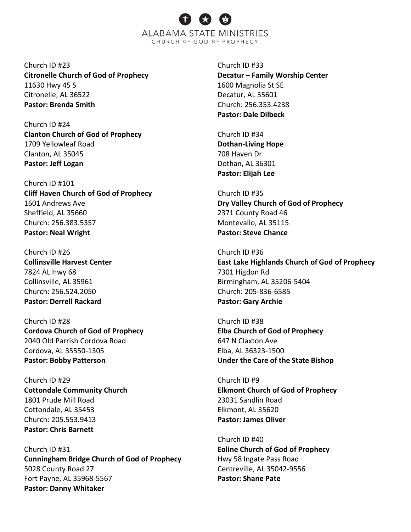Church ID #23 **Citronelle Church of God of Prophecy** 11630 Hwy 45 S Citronelle, AL 36522 **Pastor: Brenda Smith**

Church ID #24 **Clanton Church of God of Prophecy** 1709 Yellowleaf Road Clanton, AL 35045 **Pastor: Jeff Logan**

Church ID #101 **Cliff Haven Church of God of Prophecy** 1601 Andrews Ave Sheffield, AL 35660 Church: 256.383.5357 **Pastor: Neal Wright**

Church ID #26 **Collinsville Harvest Center** 7824 AL Hwy 68 Collinsville, AL 35961 Church: 256.524.2050 **Pastor: Derrell Rackard**

Church ID #28 **Cordova Church of God of Prophecy** 2040 Old Parrish Cordova Road Cordova, AL 35550-1305 **Pastor: Bobby Patterson**

Church ID #29 **Cottondale Community Church**  1801 Prude Mill Road Cottondale, AL 35453 Church: 205.553.9413 **Pastor: Chris Barnett**

Church ID #31 **Cunningham Bridge Church of God of Prophecy** 5028 County Road 27 Fort Payne, AL 35968-5567 **Pastor: Danny Whitaker**

Church ID #33 **Decatur – Family Worship Center** 1600 Magnolia St SE Decatur, AL 35601 Church: 256.353.4238 **Pastor: Dale Dilbeck**

Church ID #34 **Dothan-Living Hope**  708 Haven Dr Dothan, AL 36301 **Pastor: Elijah Lee**

Church ID #35 **Dry Valley Church of God of Prophecy** 2371 County Road 46 Montevallo, AL 35115 **Pastor: Steve Chance**

Church ID #36 **East Lake Highlands Church of God of Prophecy** 7301 Higdon Rd Birmingham, AL 35206-5404 Church: 205-836-6585 **Pastor: Gary Archie**

Church ID #38 **Elba Church of God of Prophecy** 647 N Claxton Ave Elba, AL 36323-1500 **Under the Care of the State Bishop**

Church ID #9 **Elkmont Church of God of Prophecy** 23031 Sandlin Road Elkmont, AL 35620 **Pastor: James Oliver**

Church ID #40 **Eoline Church of God of Prophecy** Hwy 58 Ingate Pass Road Centreville, AL 35042-9556 **Pastor: Shane Pate**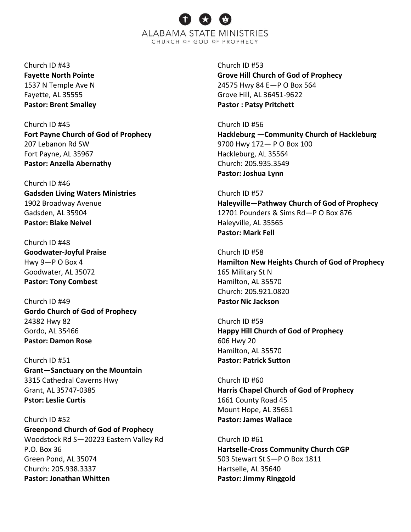Church ID #43 **Fayette North Pointe** 1537 N Temple Ave N Fayette, AL 35555 **Pastor: Brent Smalley**

Church ID #45 **Fort Payne Church of God of Prophecy** 207 Lebanon Rd SW Fort Payne, AL 35967 **Pastor: Anzella Abernathy**

Church ID #46 **Gadsden Living Waters Ministries** 1902 Broadway Avenue Gadsden, AL 35904 **Pastor: Blake Neivel**

Church ID #48 **Goodwater-Joyful Praise** Hwy 9—P O Box 4 Goodwater, AL 35072 **Pastor: Tony Combest**

Church ID #49 **Gordo Church of God of Prophecy** 24382 Hwy 82 Gordo, AL 35466 **Pastor: Damon Rose**

Church ID #51 **Grant—Sanctuary on the Mountain**  3315 Cathedral Caverns Hwy Grant, AL 35747-0385 **Pstor: Leslie Curtis**

Church ID #52 **Greenpond Church of God of Prophecy** Woodstock Rd S—20223 Eastern Valley Rd P.O. Box 36 Green Pond, AL 35074 Church: 205.938.3337 **Pastor: Jonathan Whitten**

Church ID #53 **Grove Hill Church of God of Prophecy** 24575 Hwy 84 E—P O Box 564 Grove Hill, AL 36451-9622 **Pastor : Patsy Pritchett**

Church ID #56 **Hackleburg —Community Church of Hackleburg** 9700 Hwy 172— P O Box 100 Hackleburg, AL 35564 Church: 205.935.3549 **Pastor: Joshua Lynn**

Church ID #57 **Haleyville—Pathway Church of God of Prophecy** 12701 Pounders & Sims Rd—P O Box 876 Haleyville, AL 35565 **Pastor: Mark Fell**

Church ID #58 **Hamilton New Heights Church of God of Prophecy** 165 Military St N Hamilton, AL 35570 Church: 205.921.0820 **Pastor Nic Jackson**

Church ID #59 **Happy Hill Church of God of Prophecy** 606 Hwy 20 Hamilton, AL 35570 **Pastor: Patrick Sutton**

Church ID #60 **Harris Chapel Church of God of Prophecy** 1661 County Road 45 Mount Hope, AL 35651 **Pastor: James Wallace**

Church ID #61 **Hartselle-Cross Community Church CGP** 503 Stewart St S—P O Box 1811 Hartselle, AL 35640 **Pastor: Jimmy Ringgold**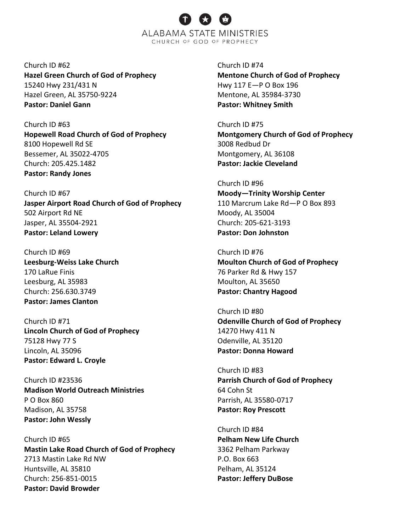Church ID #62 **Hazel Green Church of God of Prophecy** 15240 Hwy 231/431 N Hazel Green, AL 35750-9224 **Pastor: Daniel Gann**

Church ID #63 **Hopewell Road Church of God of Prophecy** 8100 Hopewell Rd SE Bessemer, AL 35022-4705 Church: 205.425.1482 **Pastor: Randy Jones**

Church ID #67 **Jasper Airport Road Church of God of Prophecy** 502 Airport Rd NE Jasper, AL 35504-2921 **Pastor: Leland Lowery**

Church ID #69 **Leesburg-Weiss Lake Church** 170 LaRue Finis Leesburg, AL 35983 Church: 256.630.3749 **Pastor: James Clanton**

Church ID #71 **Lincoln Church of God of Prophecy** 75128 Hwy 77 S Lincoln, AL 35096 **Pastor: Edward L. Croyle**

Church ID #23536 **Madison World Outreach Ministries** P O Box 860 Madison, AL 35758 **Pastor: John Wessly**

Church ID #65 **Mastin Lake Road Church of God of Prophecy** 2713 Mastin Lake Rd NW Huntsville, AL 35810 Church: 256-851-0015 **Pastor: David Browder**

Church ID #74 **Mentone Church of God of Prophecy** Hwy 117 E—P O Box 196 Mentone, AL 35984-3730 **Pastor: Whitney Smith**

Church ID #75 **Montgomery Church of God of Prophecy** 3008 Redbud Dr Montgomery, AL 36108 **Pastor: Jackie Cleveland**

Church ID #96 **Moody—Trinity Worship Center** 110 Marcrum Lake Rd—P O Box 893 Moody, AL 35004 Church: 205-621-3193 **Pastor: Don Johnston**

Church ID #76 **Moulton Church of God of Prophecy** 76 Parker Rd & Hwy 157 Moulton, AL 35650 **Pastor: Chantry Hagood**

Church ID #80 **Odenville Church of God of Prophecy** 14270 Hwy 411 N Odenville, AL 35120 **Pastor: Donna Howard**

Church ID #83 **Parrish Church of God of Prophecy** 64 Cohn St Parrish, AL 35580-0717 **Pastor: Roy Prescott**

Church ID #84 **Pelham New Life Church** 3362 Pelham Parkway P.O. Box 663 Pelham, AL 35124 **Pastor: Jeffery DuBose**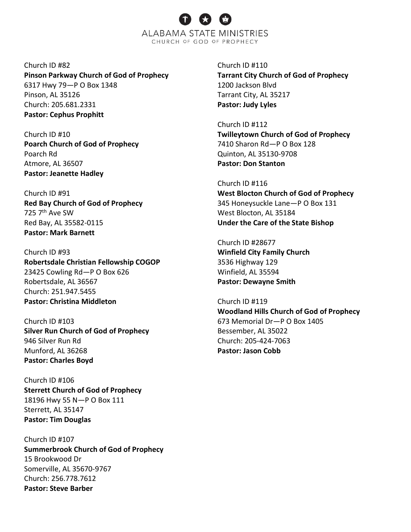Church ID #82 **Pinson Parkway Church of God of Prophecy** 6317 Hwy 79—P O Box 1348 Pinson, AL 35126 Church: 205.681.2331 **Pastor: Cephus Prophitt**

Church ID #10 **Poarch Church of God of Prophecy** Poarch Rd Atmore, AL 36507 **Pastor: Jeanette Hadley**

Church ID #91 **Red Bay Church of God of Prophecy** 725 7<sup>th</sup> Ave SW Red Bay, AL 35582-0115 **Pastor: Mark Barnett**

Church ID #93 **Robertsdale Christian Fellowship COGOP** 23425 Cowling Rd—P O Box 626 Robertsdale, AL 36567 Church: 251.947.5455 **Pastor: Christina Middleton**

Church ID #103 **Silver Run Church of God of Prophecy** 946 Silver Run Rd Munford, AL 36268 **Pastor: Charles Boyd**

Church ID #106 **Sterrett Church of God of Prophecy** 18196 Hwy 55 N—P O Box 111 Sterrett, AL 35147 **Pastor: Tim Douglas**

Church ID #107 **Summerbrook Church of God of Prophecy** 15 Brookwood Dr Somerville, AL 35670-9767 Church: 256.778.7612 **Pastor: Steve Barber**

Church ID #110 **Tarrant City Church of God of Prophecy** 1200 Jackson Blvd Tarrant City, AL 35217 **Pastor: Judy Lyles**

Church ID #112 **Twilleytown Church of God of Prophecy** 7410 Sharon Rd—P O Box 128 Quinton, AL 35130-9708 **Pastor: Don Stanton**

Church ID #116 **West Blocton Church of God of Prophecy** 345 Honeysuckle Lane—P O Box 131 West Blocton, AL 35184 **Under the Care of the State Bishop**

Church ID #28677 **Winfield City Family Church** 3536 Highway 129 Winfield, AL 35594 **Pastor: Dewayne Smith**

Church ID #119 **Woodland Hills Church of God of Prophecy** 673 Memorial Dr—P O Box 1405 Bessember, AL 35022 Church: 205-424-7063 **Pastor: Jason Cobb**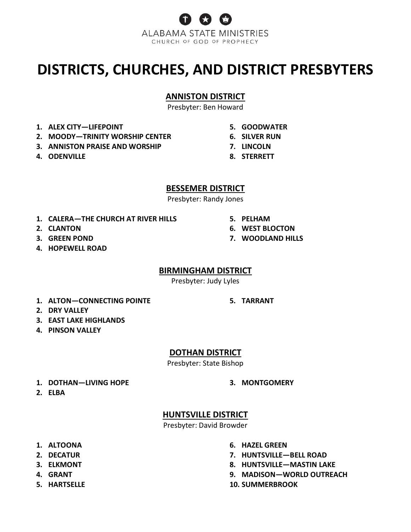

# **DISTRICTS, CHURCHES, AND DISTRICT PRESBYTERS**

### **ANNISTON DISTRICT**

Presbyter: Ben Howard

- **1. ALEX CITY—LIFEPOINT**
- **2. MOODY—TRINITY WORSHIP CENTER**
- **3. ANNISTON PRAISE AND WORSHIP**
- **4. ODENVILLE**
- **5. GOODWATER**
- **6. SILVER RUN**
- **7. LINCOLN**
- **8. STERRETT**

**5. PELHAM**

**6. WEST BLOCTON 7. WOODLAND HILLS**

#### **BESSEMER DISTRICT**

Presbyter: Randy Jones

- **1. CALERA—THE CHURCH AT RIVER HILLS**
- **2. CLANTON**
- **3. GREEN POND**
- **4. HOPEWELL ROAD**

#### **BIRMINGHAM DISTRICT**

Presbyter: Judy Lyles

**1. ALTON—CONNECTING POINTE**

**5. TARRANT**

- **2. DRY VALLEY**
- **3. EAST LAKE HIGHLANDS**
- **4. PINSON VALLEY**

### **DOTHAN DISTRICT**

Presbyter: State Bishop

**1. DOTHAN—LIVING HOPE**

**3. MONTGOMERY**

**2. ELBA**

# **HUNTSVILLE DISTRICT**

Presbyter: David Browder

- **1. ALTOONA**
- **2. DECATUR**
- **3. ELKMONT**
- **4. GRANT**
- **5. HARTSELLE**
- **6. HAZEL GREEN**
- **7. HUNTSVILLE—BELL ROAD**
- **8. HUNTSVILLE—MASTIN LAKE**
- **9. MADISON—WORLD OUTREACH**
- **10. SUMMERBROOK**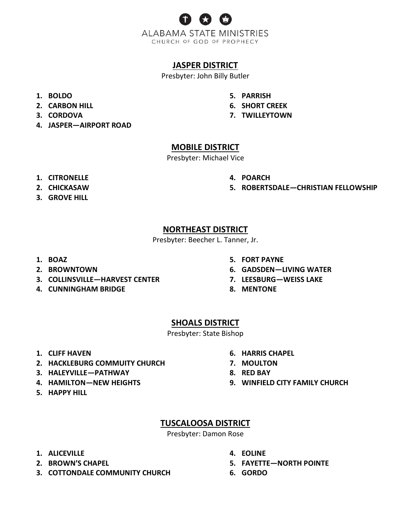

## **JASPER DISTRICT**

Presbyter: John Billy Butler

- **1. BOLDO**
- **2. CARBON HILL**
- **3. CORDOVA**
- **4. JASPER—AIRPORT ROAD**
- **5. PARRISH**
- **6. SHORT CREEK**
- **7. TWILLEYTOWN**

## **MOBILE DISTRICT**

Presbyter: Michael Vice

- **1. CITRONELLE**
- **2. CHICKASAW**
- **3. GROVE HILL**
- **4. POARCH**
- **5. ROBERTSDALE—CHRISTIAN FELLOWSHIP**

### **NORTHEAST DISTRICT**

Presbyter: Beecher L. Tanner, Jr.

- **1. BOAZ**
- **2. BROWNTOWN**
- **3. COLLINSVILLE—HARVEST CENTER**
- **4. CUNNINGHAM BRIDGE**
- **5. FORT PAYNE**
- **6. GADSDEN—LIVING WATER**
- **7. LEESBURG—WEISS LAKE**
- **8. MENTONE**

## **SHOALS DISTRICT**

Presbyter: State Bishop

- **1. CLIFF HAVEN**
- **2. HACKLEBURG COMMUITY CHURCH**
- **3. HALEYVILLE—PATHWAY**
- **4. HAMILTON—NEW HEIGHTS**
- **5. HAPPY HILL**
- **6. HARRIS CHAPEL**
- **7. MOULTON**
- **8. RED BAY**
- **9. WINFIELD CITY FAMILY CHURCH**

# **TUSCALOOSA DISTRICT**

Presbyter: Damon Rose

- **1. ALICEVILLE**
- **2. BROWN'S CHAPEL**
- **3. COTTONDALE COMMUNITY CHURCH**
- **4. EOLINE**
- **5. FAYETTE—NORTH POINTE**
- **6. GORDO**